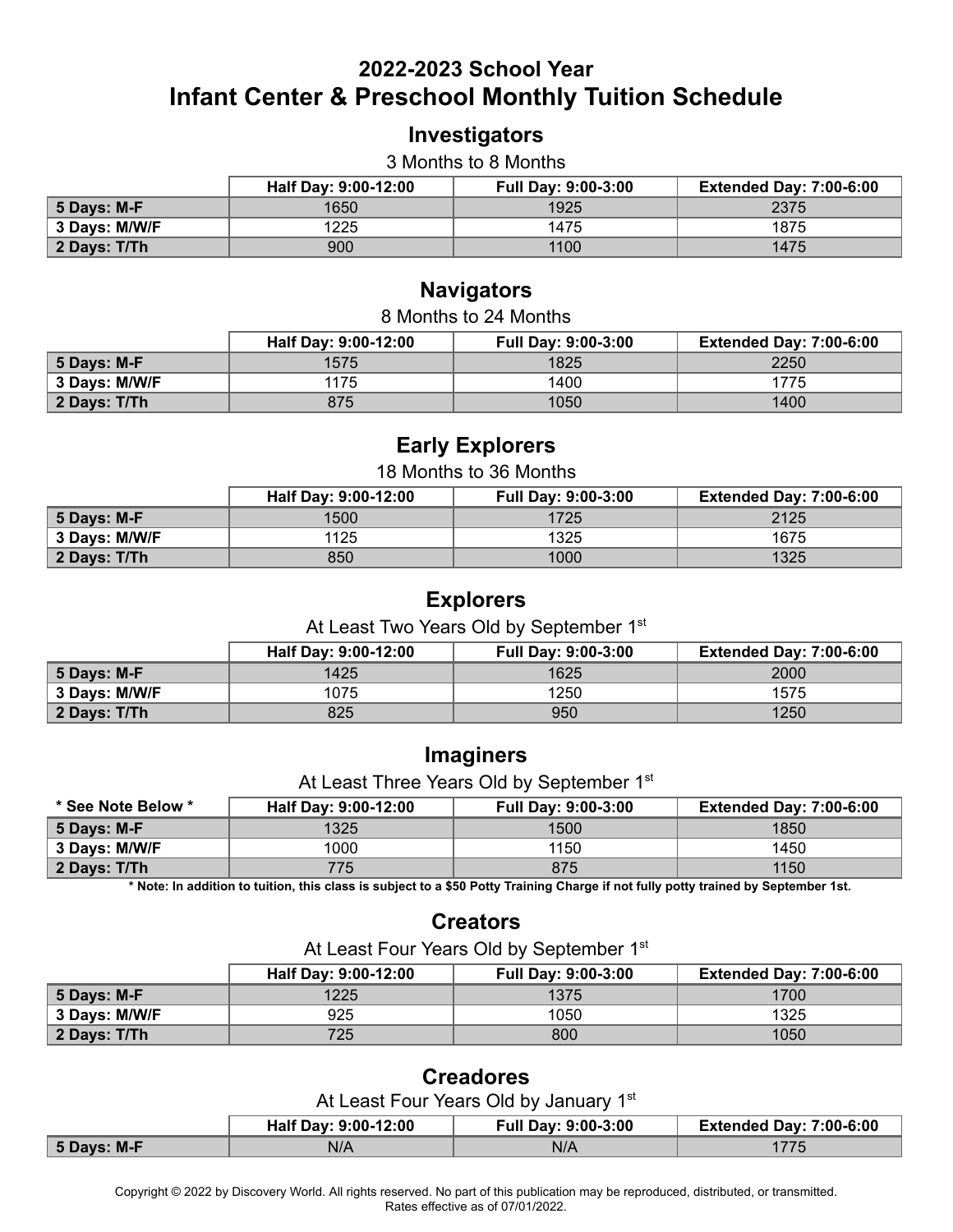## **2022-2023 School Year Infant Center & Preschool Monthly Tuition Schedule**

### **Investigators**

#### 3 Months to 8 Months

|                              | Half Day: 9:00-12:00 | <b>Full Day: 9:00-3:00</b> | <b>Extended Day: 7:00-6:00</b> |
|------------------------------|----------------------|----------------------------|--------------------------------|
| ∣ 5 Days: M-F                | 1650                 | 1925                       | 2375                           |
| 3 Days: M/W/F                | 1225                 | 1475                       | 1875                           |
| $\vert$ 2 Days: T/Th $\vert$ | 900                  | 1100                       | 1475                           |

#### **Navigators**

| 8 Months to 24 Months                                                                |      |      |      |  |
|--------------------------------------------------------------------------------------|------|------|------|--|
| Half Day: 9:00-12:00<br><b>Extended Day: 7:00-6:00</b><br><b>Full Day: 9:00-3:00</b> |      |      |      |  |
| 5 Days: M-F                                                                          | 1575 | 1825 | 2250 |  |
| 3 Days: M/W/F                                                                        | 1175 | 1400 | 1775 |  |
| 2 Days: T/Th                                                                         | 875  | 1050 | 1400 |  |
|                                                                                      |      |      |      |  |

### **Early Explorers**

#### 18 Months to 36 Months

|               | Half Day: 9:00-12:00 | <b>Full Day: 9:00-3:00</b> | <b>Extended Day: 7:00-6:00</b> |
|---------------|----------------------|----------------------------|--------------------------------|
| 5 Days: M-F   | 1500                 | 1725                       | 2125                           |
| 3 Days: M/W/F | 1125                 | 1325                       | 1675                           |
| 2 Days: T/Th  | 850                  | 1000                       | 1325                           |

#### **Explorers**

At Least Two Years Old by September 1st

|                     | Half Day: 9:00-12:00 | <b>Full Day: 9:00-3:00</b> | <b>Extended Day: 7:00-6:00</b> |
|---------------------|----------------------|----------------------------|--------------------------------|
| 5 Days: M-F         | 1425                 | 1625                       | 2000                           |
| 3 Days: M/W/F       | 1075                 | 1250                       | 1575                           |
| <b>2 Days: T/Th</b> | 825                  | 950                        | 1250                           |

### **Imaginers**

At Least Three Years Old by September 1st

| * See Note Below *   | Half Day: 9:00-12:00 | <b>Full Day: 9:00-3:00</b> | <b>Extended Day: 7:00-6:00</b> |
|----------------------|----------------------|----------------------------|--------------------------------|
| 5 Days: M-F          | 1325                 | 1500                       | 1850                           |
| 3 Days: M/W/F        | 1000                 | 1150                       | 1450                           |
| $\vert$ 2 Days: T/Th | 775.                 | 875                        | 1150                           |

 **\* Note: In addition to tuition, this class is subject to a \$50 Potty Training Charge if not fully potty trained by September 1st.** 

#### **Creators**

At Least Four Years Old by September 1st

|               | Half Dav: 9:00-12:00 | <b>Full Day: 9:00-3:00</b> | <b>Extended Day: 7:00-6:00</b> |
|---------------|----------------------|----------------------------|--------------------------------|
| 5 Days: M-F   | 1225                 | 1375                       | 1700                           |
| 3 Days: M/W/F | 925                  | 1050                       | 1325                           |
| 2 Days: T/Th  | 725                  | 800                        | 1050                           |

### **Creadores**

At Least Four Years Old by January 1st

|             | Half Day: 9:00-12:00 | Full Day: 9:00-3:00 | <b>Extended Day: 7:00-6:00</b> |
|-------------|----------------------|---------------------|--------------------------------|
| 5 Days: M-F | N/A                  | N/A                 |                                |

 Copyright © 2022 by Discovery World. All rights reserved. No part of this publication may be reproduced, distributed, or transmitted. Rates effective as of 07/01/2022.